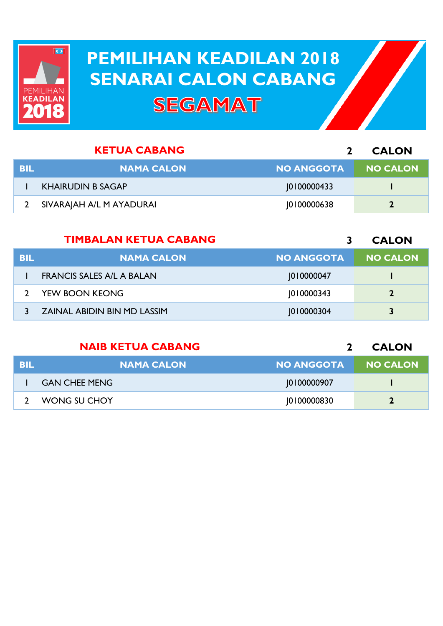

## **PEMILIHAN KEADILAN 2018 PEMILIHAN KEADILAN 2018 SENARAI CALON CABANG SENARAI CALON CABANGSEGAMAT**

|     | <b>KETUA CABANG</b>      |                   | <b>CALON</b>    |
|-----|--------------------------|-------------------|-----------------|
| BIL | <b>NAMA CALON</b>        | <b>NO ANGGOTA</b> | <b>NO CALON</b> |
|     | <b>KHAIRUDIN B SAGAP</b> | 0100000433        |                 |
|     | SIVARAJAH A/L M AYADURAI | 0100000638        |                 |

|            | <b>TIMBALAN KETUA CABANG</b>       |                   | <b>CALON</b>    |
|------------|------------------------------------|-------------------|-----------------|
| <b>BIL</b> | <b>NAMA CALON</b>                  | <b>NO ANGGOTA</b> | <b>NO CALON</b> |
|            | <b>FRANCIS SALES A/L A BALAN</b>   | 010000047         |                 |
|            | YEW BOON KEONG                     | 010000343         | $\overline{2}$  |
|            | <b>ZAINAL ABIDIN BIN MD LASSIM</b> | 1010000304        | 3               |

|     | <b>NAIB KETUA CABANG</b> |                   | <b>CALON</b>    |
|-----|--------------------------|-------------------|-----------------|
| BIL | <b>NAMA CALON</b>        | <b>NO ANGGOTA</b> | <b>NO CALON</b> |
|     | <b>GAN CHEE MENG</b>     | 10100000907       |                 |
|     | WONG SU CHOY             | 10100000830       |                 |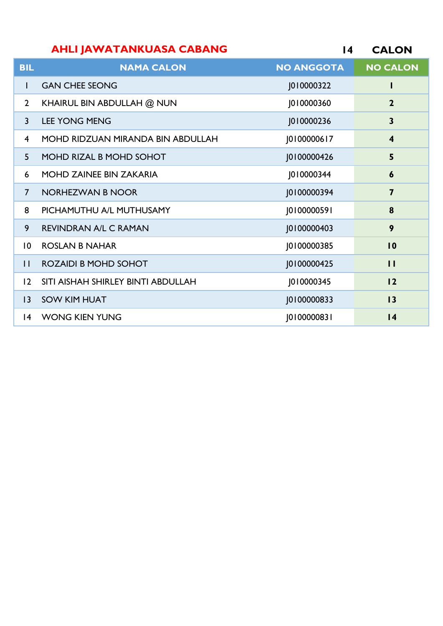|                         | <b>AHLI JAWATANKUASA CABANG</b>          | $\overline{14}$   | <b>CALON</b>            |
|-------------------------|------------------------------------------|-------------------|-------------------------|
| <b>BIL</b>              | <b>NAMA CALON</b>                        | <b>NO ANGGOTA</b> | <b>NO CALON</b>         |
| $\mathbf{I}$            | <b>GAN CHEE SEONG</b>                    | 1010000322        | I                       |
| $\overline{2}$          | KHAIRUL BIN ABDULLAH @ NUN               | J010000360        | $\overline{2}$          |
| $\overline{3}$          | <b>LEE YONG MENG</b>                     | J010000236        | $\mathbf{3}$            |
| $\overline{\mathbf{4}}$ | <b>MOHD RIDZUAN MIRANDA BIN ABDULLAH</b> | J0100000617       | $\overline{\mathbf{4}}$ |
| 5                       | MOHD RIZAL B MOHD SOHOT                  | J0100000426       | 5                       |
| 6                       | <b>MOHD ZAINEE BIN ZAKARIA</b>           | J010000344        | $\boldsymbol{6}$        |
| $\overline{7}$          | <b>NORHEZWAN B NOOR</b>                  | J0100000394       | $\overline{7}$          |
| 8                       | PICHAMUTHU A/L MUTHUSAMY                 | J0100000591       | 8                       |
| 9                       | <b>REVINDRAN A/L C RAMAN</b>             | J0100000403       | 9                       |
| $\overline{10}$         | <b>ROSLAN B NAHAR</b>                    | J0100000385       | 10                      |
| $\mathbf{H}$            | <b>ROZAIDI B MOHD SOHOT</b>              | J0100000425       | $\mathbf{H}$            |
| 12                      | SITI AISHAH SHIRLEY BINTI ABDULLAH       | J010000345        | 12                      |
| 3                       | <b>SOW KIM HUAT</b>                      | J0100000833       | 13                      |
| $\overline{14}$         | <b>WONG KIEN YUNG</b>                    | J0100000831       | $\overline{14}$         |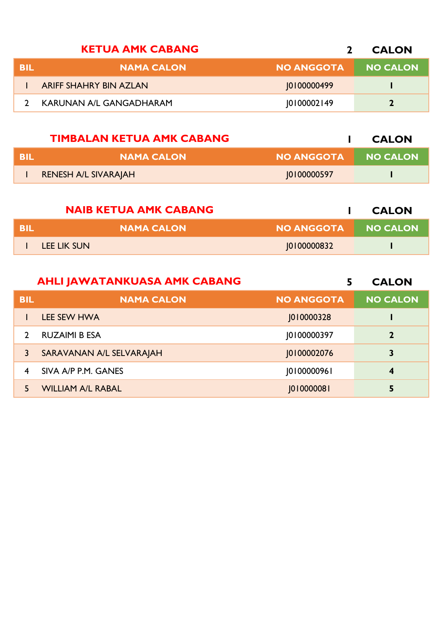|            | <b>KETUA AMK CABANG</b>       |                   | <b>CALON</b>    |
|------------|-------------------------------|-------------------|-----------------|
| <b>BIL</b> | <b>NAMA CALON</b>             | <b>NO ANGGOTA</b> | <b>NO CALON</b> |
|            | <b>ARIFF SHAHRY BIN AZLAN</b> | 10100000499       |                 |
|            | KARUNAN A/L GANGADHARAM       | 0100002149        | $\mathbf{r}$    |

|      | <b>TIMBALAN KETUA AMK CABANG</b> |             | <b>CALON</b>    |
|------|----------------------------------|-------------|-----------------|
| -BIL | <b>NAMA CALON</b>                | NO ANGGOTA  | <b>NO CALON</b> |
|      | RENESH A/L SIVARAJAH             | 10100000597 |                 |

|      | <b>NAIB KETUA AMK CABANG</b> |                   | <b>CALON</b>    |
|------|------------------------------|-------------------|-----------------|
| -BII | <b>NAMA CALON</b>            | <b>NO ANGGOTA</b> | <b>NO CALON</b> |
|      | LEE LIK SUN                  | 0100000832        |                 |

|            | <b>AHLI JAWATANKUASA AMK CABANG</b> | 5                 | <b>CALON</b>    |
|------------|-------------------------------------|-------------------|-----------------|
| <b>BIL</b> | <b>NAMA CALON</b>                   | <b>NO ANGGOTA</b> | <b>NO CALON</b> |
|            | LEE SEW HWA                         | 1010000328        |                 |
|            | <b>RUZAIMI B ESA</b>                | 10100000397       | $\mathbf{2}$    |
| 3          | SARAVANAN A/L SELVARAJAH            | 10100002076       | 3               |
| 4          | SIVA A/P P.M. GANES                 | 10100000961       | 4               |
| 5          | <b>WILLIAM A/L RABAL</b>            | 01000008          | 5               |